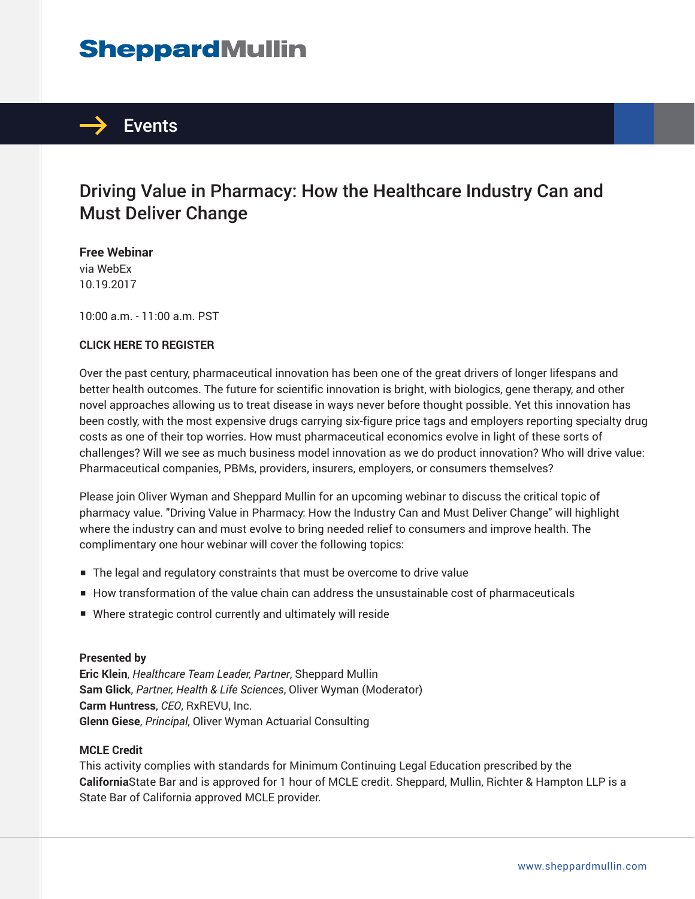# **SheppardMullin**



# Driving Value in Pharmacy: How the Healthcare Industry Can and Must Deliver Change

**Free Webinar** via WebEx 10.19.2017

10:00 a.m. - 11:00 a.m. PST

#### **CLICK HERE TO REGISTER**

Over the past century, pharmaceutical innovation has been one of the great drivers of longer lifespans and better health outcomes. The future for scientific innovation is bright, with biologics, gene therapy, and other novel approaches allowing us to treat disease in ways never before thought possible. Yet this innovation has been costly, with the most expensive drugs carrying six-figure price tags and employers reporting specialty drug costs as one of their top worries. How must pharmaceutical economics evolve in light of these sorts of challenges? Will we see as much business model innovation as we do product innovation? Who will drive value: Pharmaceutical companies, PBMs, providers, insurers, employers, or consumers themselves?

Please join Oliver Wyman and Sheppard Mullin for an upcoming webinar to discuss the critical topic of pharmacy value. "Driving Value in Pharmacy: How the Industry Can and Must Deliver Change" will highlight where the industry can and must evolve to bring needed relief to consumers and improve health. The complimentary one hour webinar will cover the following topics:

- The legal and regulatory constraints that must be overcome to drive value
- How transformation of the value chain can address the unsustainable cost of pharmaceuticals
- Where strategic control currently and ultimately will reside

#### **Presented by**

**Eric Klein**, *Healthcare Team Leader, Partner*, Sheppard Mullin **Sam Glick**, *Partner, Health & Life Sciences*, Oliver Wyman (Moderator) **Carm Huntress**, *CEO*, RxREVU, Inc. **Glenn Giese**, *Principal*, Oliver Wyman Actuarial Consulting

#### **MCLE Credit**

This activity complies with standards for Minimum Continuing Legal Education prescribed by the **California**State Bar and is approved for 1 hour of MCLE credit. Sheppard, Mullin, Richter & Hampton LLP is a State Bar of California approved MCLE provider.